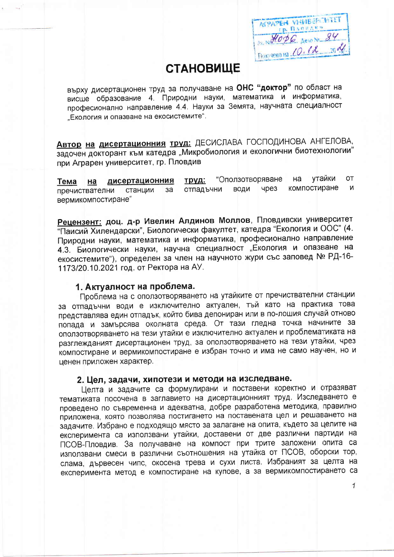**ASPAPER VHUBERCUTLY** HODE ARION 84  $Tion/9000$  Ha  $10.18$  20  $\%$ 

 $\overline{1}$ 

## **СТАНОВИЩЕ**

върху дисертационен труд за получаване на ОНС "доктор" по област на висше образование 4. Природни науки, математика и информатика, професионално направление 4.4. Науки за Земята, научната специалност "Екология и опазване на екосистемите".

Автор на дисертационния труд: ДЕСИСЛАВА ГОСПОДИНОВА АНГЕЛОВА, задочен докторант към катедра "Микробиология и екологични биотехнологии" при Аграрен университет, гр. Пловдив

утайки **OT** "Оползотворяване Ha дисертационния труд: Ha Тема компостиране чрез И ВОДИ отпадъчни станции  $3a$ пречиствателни вермикомпостиране"

Рецензент: доц. д-р Ивелин Алдинов Моллов, Пловдивски университет "Паисий Хилендарски", Биологически факултет, катедра "Екология и ООС" (4. Природни науки, математика и информатика, професионално направление 4.3. Биологически науки, научна специалност "Екология и опазване на екосистемите"), определен за член на научното жури със заповед № РД-16-1173/20.10.2021 год. от Ректора на АУ.

## 1. Актуалност на проблема.

Проблема на с оползотворяването на утайките от пречиствателни станции за отпадъчни води е изключително актуален, тъй като на практика това представлява един отпадък, който бива депониран или в по-лошия случай отново попада и замърсява околната среда. От тази гледна точка начините за оползотворяването на тези утайки е изключително актуален и проблематиката на разглежданият дисертационен труд, за оползотворяването на тези утайки, чрез компостиране и вермикомпостиране е избран точно и има не само научен, но и ценен приложен характер.

### 2. Цел, задачи, хипотези и методи на изследване.

Целта и задачите са формулирани и поставени коректно и отразяват тематиката посочена в заглавието на дисертационният труд. Изследването е проведено по съвременна и адекватна, добре разработена методика, правилно приложена, която позволява постигането на поставената цел и решаването на задачите. Избрано е подходящо място за залагане на опита, където за целите на експеримента са използвани утайки, доставени от две различни партиди на ПСОВ-Пловдив. За получаване на компост при трите заложени опита са използвани смеси в различни съотношения на утайка от ПСОВ, оборски тор, слама, дървесен чипс, окосена трева и сухи листа. Избраният за целта на експеримента метод е компостиране на купове, а за вермикомпостирането са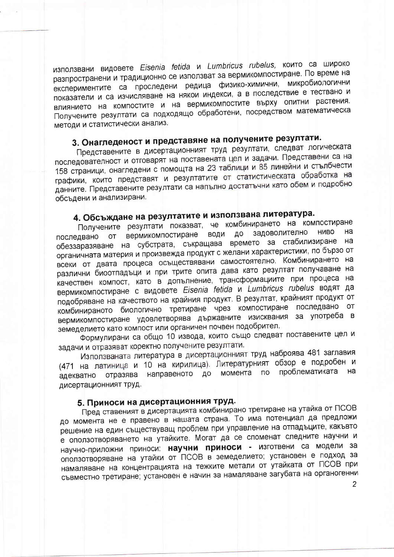използвани видовете Eisenia fetida и Lumbricus rubelus, които са широко разпространени и традиционно се използват за вермикомпостиране. По време на експериментите са проследени редица физико-химични, микробиологични показатели и са изчисляване на някои индекси, а в последствие е тествано и влиянието на компостите и на вермикомпостите върху опитни растения. Получените резултати са подходящо обработени, посредством математическа методи и статистически анализ.

# 3. Онагледеност и представяне на получените резултати.

Представените в дисертационният труд резултати, следват логическата последователност и отговарят на поставената цел и задачи. Представени са на 158 страници, онагледени с помощта на 23 таблици и 85 линейни и стълбчести графики, които представят и резултатите от статистическата обработка на данните. Представените резултати са напълно достатъчни като обем и подробно обсъдени и анализирани.

## 4. Обсъждане на резултатите и използвана литература.

Получените резултати показват, че комбинирането на компостиране вермикомпостиране води до задоволително **HIABO** на последвано **OT** обеззаразяване на субстрата, съкращава времето за стабилизиране на органичната материя и произвежда продукт с желани характеристики, по бързо от всеки от двата процеса осъществявани самостоятелно. Комбинирането на различни биоотпадъци и при трите опита дава като резултат получаване на качествен компост, като в допълнение, трансформациите при процеса на вермикомпостиране с видовете Eisenia fetida и Lumbricus rubelus водят да подобряване на качеството на крайния продукт. В резултат, крайният продукт от комбинираното биологично третиране чрез компостиране последвано от вермикомпостиране удовлетворява държавните изисквания за употреба в земеделието като компост или органичен почвен подобрител.

Формулирани са общо 10 извода, които също следват поставените цел и задачи и отразяват коректно получените резултати.

Използваната литература в дисертационният труд наброява 481 заглавия (471 на латиница и 10 на кирилица). Литературният обзор е подробен и адекватно отразява направеното до момента по проблематиката на дисертационният труд.

### 5. Приноси на дисертационния труд.

Пред ставеният в дисертацията комбинирано третиране на утайка от ПСОВ до момента не е правено в нашата страна. То има потенциал да предложи решение на един съществуващ проблем при управление на отпадъците, какъвто е оползотворяването на утайките. Могат да се споменат следните научни и научно-приложни приноси: научни приноси - изготвени са модели за оползотворяване на утайки от ПСОВ в земеделието; установен е подход за намаляване на концентрацията на тежките метали от утайката от ГІСОВ при съвместно третиране; установен е начин за намаляване загубата на органогенни